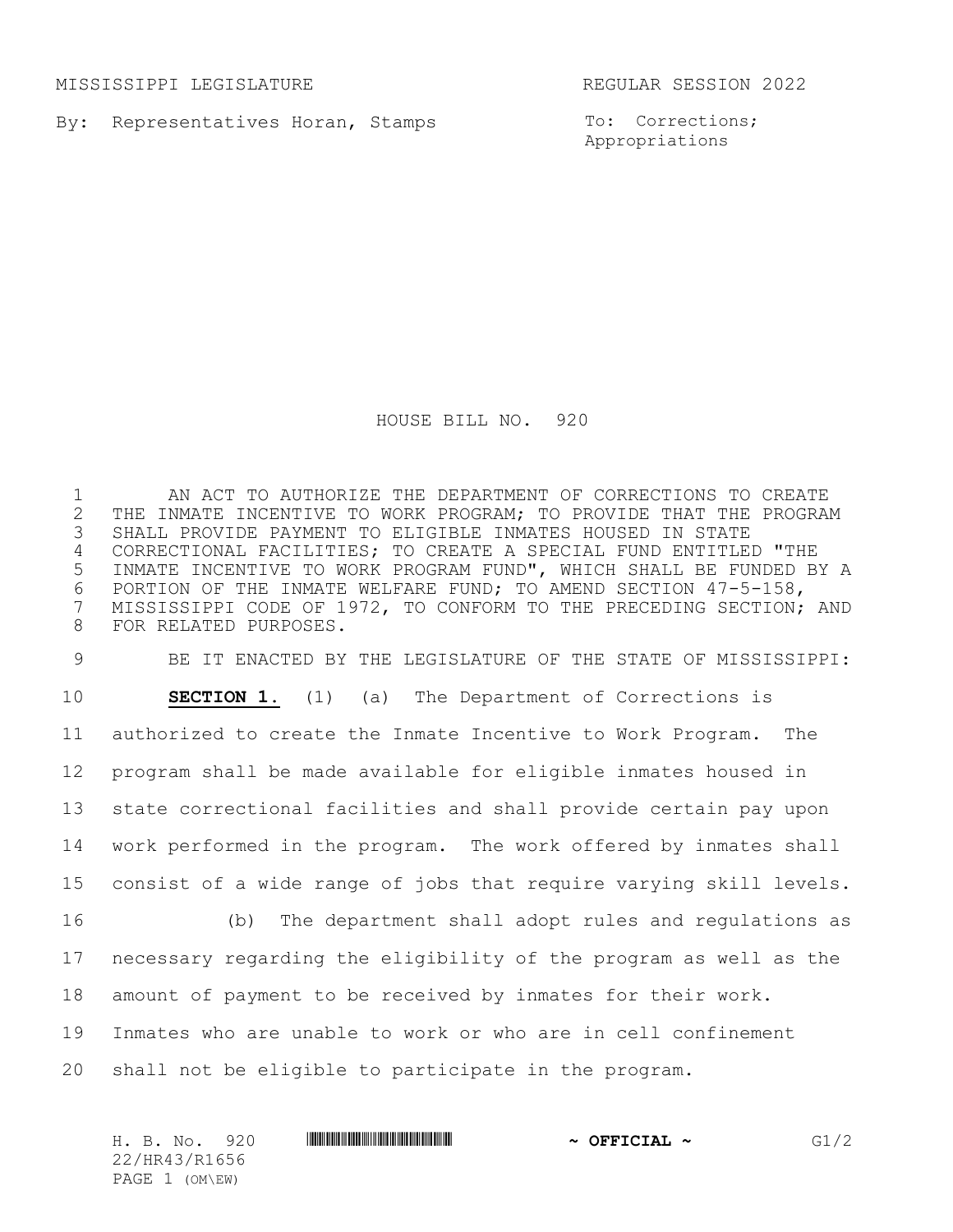MISSISSIPPI LEGISLATURE REGULAR SESSION 2022

By: Representatives Horan, Stamps

To: Corrections; Appropriations

HOUSE BILL NO. 920

 AN ACT TO AUTHORIZE THE DEPARTMENT OF CORRECTIONS TO CREATE 2 THE INMATE INCENTIVE TO WORK PROGRAM; TO PROVIDE THAT THE PROGRAM<br>3 SHALL PROVIDE PAYMENT TO ELIGIBLE INMATES HOUSED IN STATE SHALL PROVIDE PAYMENT TO ELIGIBLE INMATES HOUSED IN STATE CORRECTIONAL FACILITIES; TO CREATE A SPECIAL FUND ENTITLED "THE INMATE INCENTIVE TO WORK PROGRAM FUND", WHICH SHALL BE FUNDED BY A 6 PORTION OF THE INMATE WELFARE FUND; TO AMEND SECTION 47-5-158,<br>7 MISSISSIPPI CODE OF 1972, TO CONFORM TO THE PRECEDING SECTION: MISSISSIPPI CODE OF 1972, TO CONFORM TO THE PRECEDING SECTION; AND FOR RELATED PURPOSES.

 BE IT ENACTED BY THE LEGISLATURE OF THE STATE OF MISSISSIPPI: **SECTION 1.** (1) (a) The Department of Corrections is authorized to create the Inmate Incentive to Work Program. The program shall be made available for eligible inmates housed in state correctional facilities and shall provide certain pay upon work performed in the program. The work offered by inmates shall consist of a wide range of jobs that require varying skill levels. (b) The department shall adopt rules and regulations as necessary regarding the eligibility of the program as well as the amount of payment to be received by inmates for their work.

Inmates who are unable to work or who are in cell confinement

shall not be eligible to participate in the program.

H. B. No. 920 **HRANG BEER REAL REAL PROPERTION ~ OFFICIAL ~** G1/2 22/HR43/R1656 PAGE 1 (OM\EW)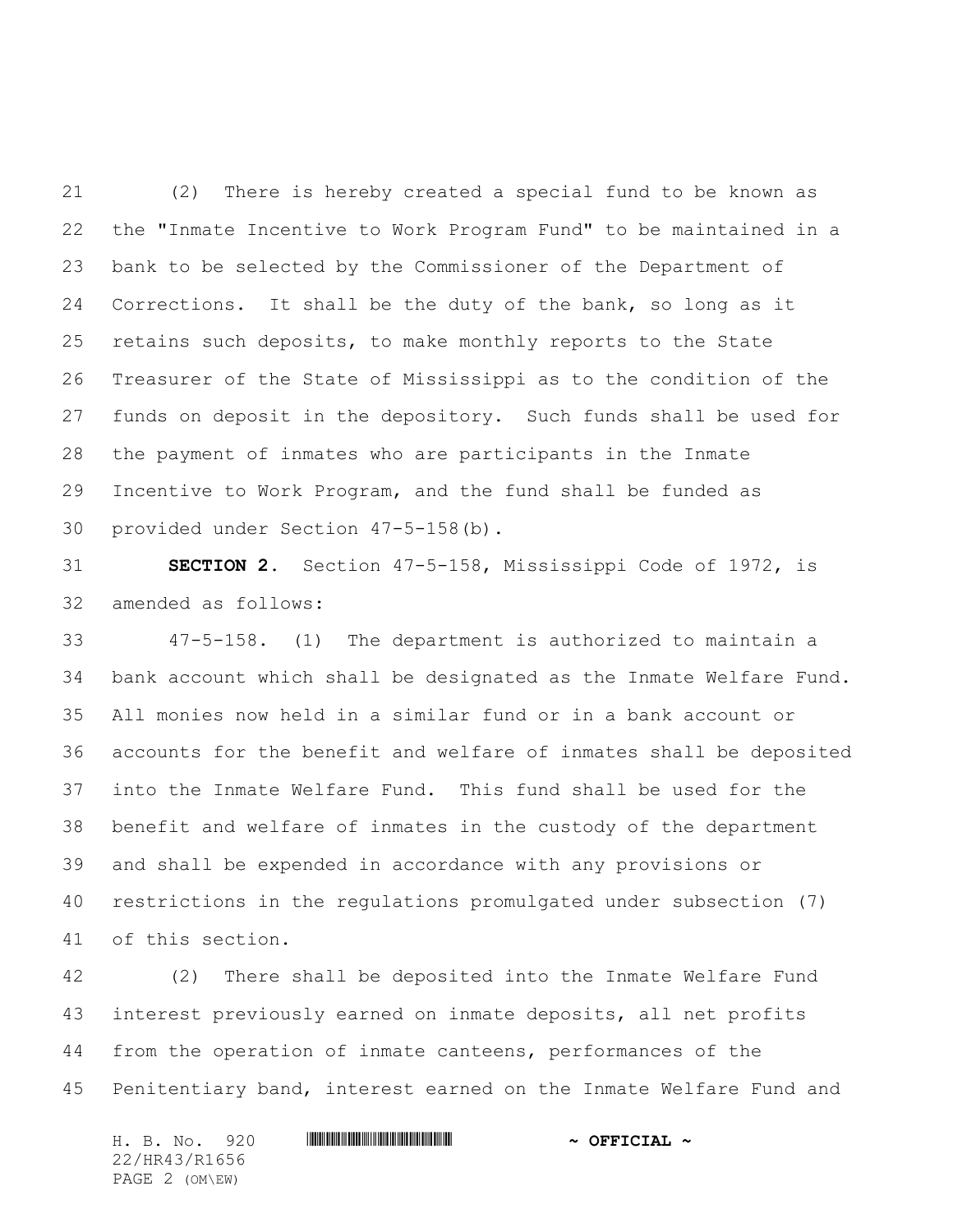(2) There is hereby created a special fund to be known as the "Inmate Incentive to Work Program Fund" to be maintained in a bank to be selected by the Commissioner of the Department of Corrections. It shall be the duty of the bank, so long as it retains such deposits, to make monthly reports to the State Treasurer of the State of Mississippi as to the condition of the funds on deposit in the depository. Such funds shall be used for the payment of inmates who are participants in the Inmate Incentive to Work Program, and the fund shall be funded as provided under Section 47-5-158(b).

 **SECTION 2.** Section 47-5-158, Mississippi Code of 1972, is amended as follows:

 47-5-158. (1) The department is authorized to maintain a bank account which shall be designated as the Inmate Welfare Fund. All monies now held in a similar fund or in a bank account or accounts for the benefit and welfare of inmates shall be deposited into the Inmate Welfare Fund. This fund shall be used for the benefit and welfare of inmates in the custody of the department and shall be expended in accordance with any provisions or restrictions in the regulations promulgated under subsection (7) of this section.

 (2) There shall be deposited into the Inmate Welfare Fund interest previously earned on inmate deposits, all net profits from the operation of inmate canteens, performances of the Penitentiary band, interest earned on the Inmate Welfare Fund and

H. B. No. 920 **. AND AND AND AND AND AND ADDRESS AND A OFFICIAL ~** 22/HR43/R1656 PAGE 2 (OM\EW)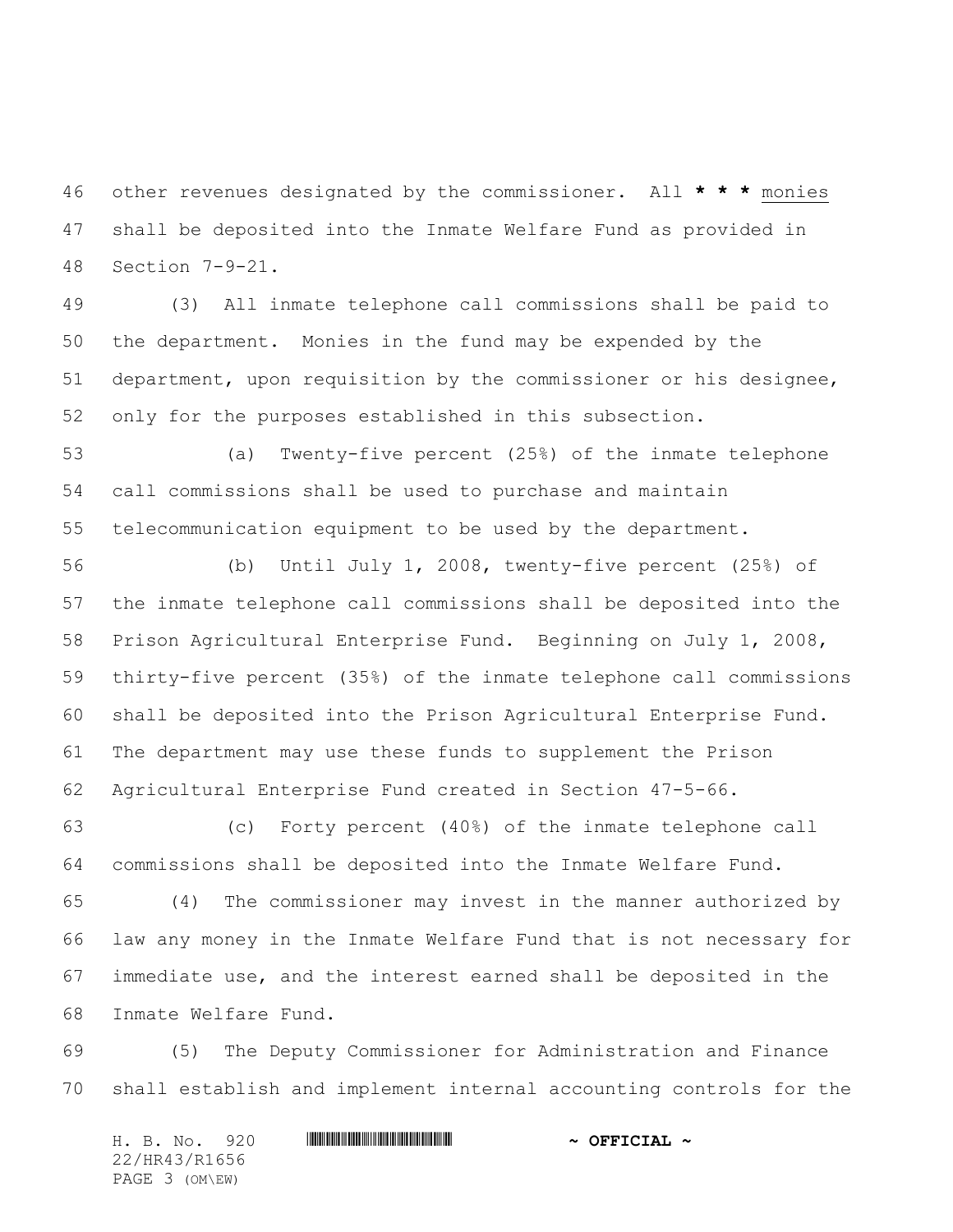other revenues designated by the commissioner. All **\* \* \*** monies shall be deposited into the Inmate Welfare Fund as provided in Section 7-9-21.

 (3) All inmate telephone call commissions shall be paid to the department. Monies in the fund may be expended by the department, upon requisition by the commissioner or his designee, only for the purposes established in this subsection.

 (a) Twenty-five percent (25%) of the inmate telephone call commissions shall be used to purchase and maintain telecommunication equipment to be used by the department.

 (b) Until July 1, 2008, twenty-five percent (25%) of the inmate telephone call commissions shall be deposited into the Prison Agricultural Enterprise Fund. Beginning on July 1, 2008, thirty-five percent (35%) of the inmate telephone call commissions shall be deposited into the Prison Agricultural Enterprise Fund. The department may use these funds to supplement the Prison Agricultural Enterprise Fund created in Section 47-5-66.

 (c) Forty percent (40%) of the inmate telephone call commissions shall be deposited into the Inmate Welfare Fund.

 (4) The commissioner may invest in the manner authorized by law any money in the Inmate Welfare Fund that is not necessary for immediate use, and the interest earned shall be deposited in the Inmate Welfare Fund.

 (5) The Deputy Commissioner for Administration and Finance shall establish and implement internal accounting controls for the

H. B. No. 920 **. AND AND AND AND AND AND ADDRESS AND A OFFICIAL ~** 22/HR43/R1656 PAGE 3 (OM\EW)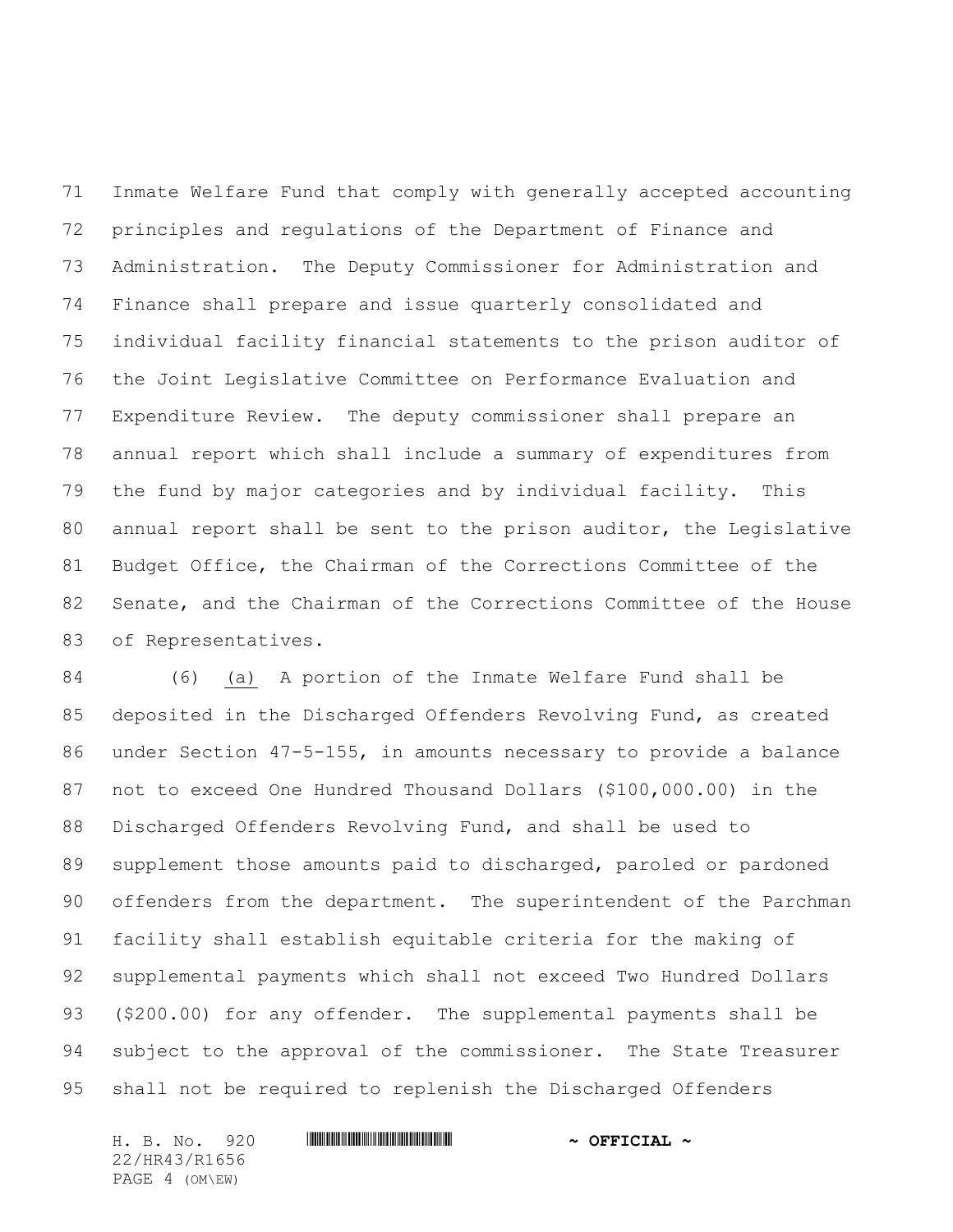Inmate Welfare Fund that comply with generally accepted accounting principles and regulations of the Department of Finance and Administration. The Deputy Commissioner for Administration and Finance shall prepare and issue quarterly consolidated and individual facility financial statements to the prison auditor of the Joint Legislative Committee on Performance Evaluation and Expenditure Review. The deputy commissioner shall prepare an annual report which shall include a summary of expenditures from the fund by major categories and by individual facility. This annual report shall be sent to the prison auditor, the Legislative Budget Office, the Chairman of the Corrections Committee of the Senate, and the Chairman of the Corrections Committee of the House of Representatives.

 (6) (a) A portion of the Inmate Welfare Fund shall be deposited in the Discharged Offenders Revolving Fund, as created under Section 47-5-155, in amounts necessary to provide a balance not to exceed One Hundred Thousand Dollars (\$100,000.00) in the Discharged Offenders Revolving Fund, and shall be used to supplement those amounts paid to discharged, paroled or pardoned offenders from the department. The superintendent of the Parchman facility shall establish equitable criteria for the making of supplemental payments which shall not exceed Two Hundred Dollars (\$200.00) for any offender. The supplemental payments shall be subject to the approval of the commissioner. The State Treasurer shall not be required to replenish the Discharged Offenders

H. B. No. 920 **. AND AND AND AND AND AND ADDRESS AND A OFFICIAL ~** 22/HR43/R1656 PAGE 4 (OM\EW)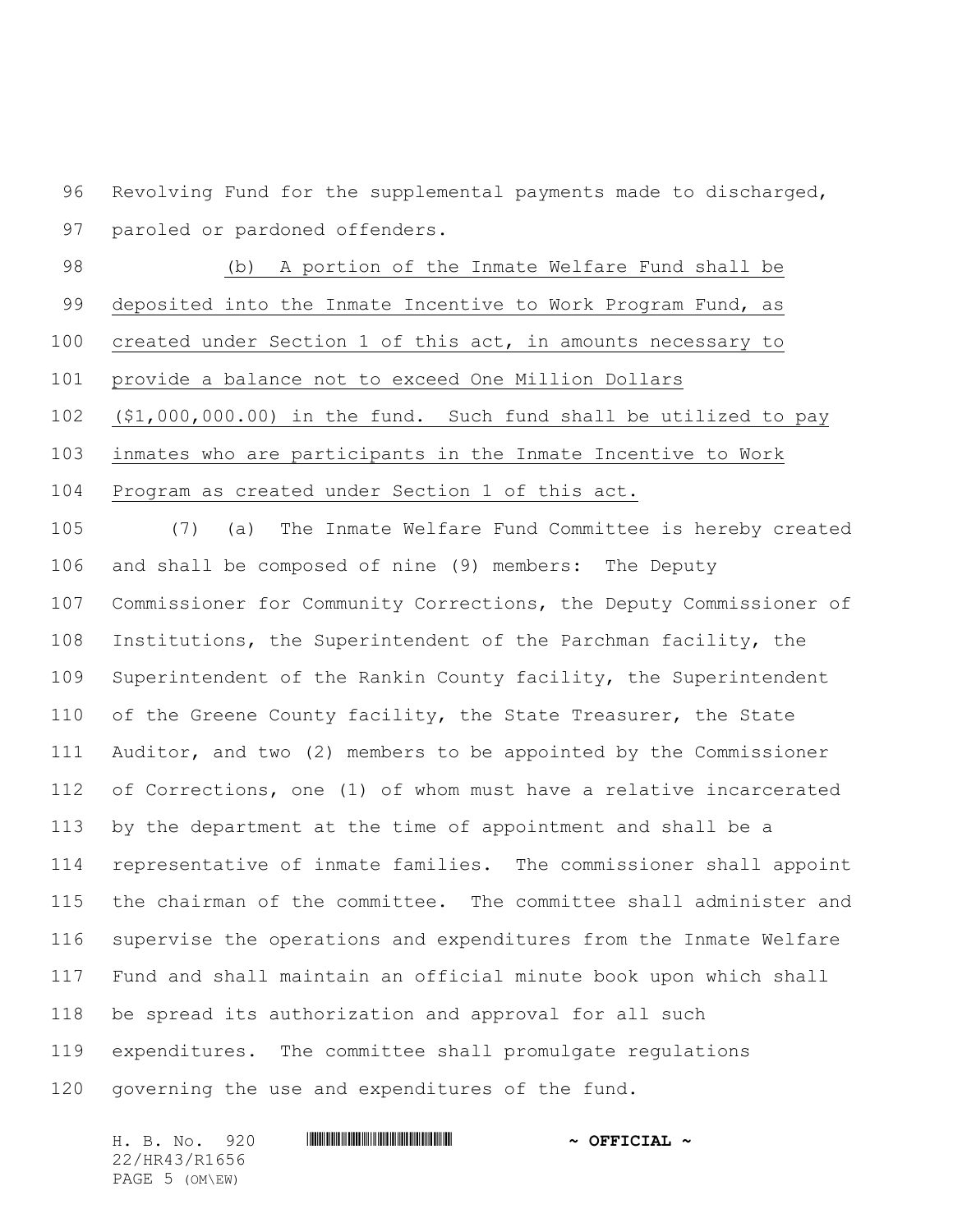Revolving Fund for the supplemental payments made to discharged, paroled or pardoned offenders.

 (b) A portion of the Inmate Welfare Fund shall be deposited into the Inmate Incentive to Work Program Fund, as created under Section 1 of this act, in amounts necessary to provide a balance not to exceed One Million Dollars (\$1,000,000.00) in the fund. Such fund shall be utilized to pay inmates who are participants in the Inmate Incentive to Work Program as created under Section 1 of this act.

 (7) (a) The Inmate Welfare Fund Committee is hereby created and shall be composed of nine (9) members: The Deputy Commissioner for Community Corrections, the Deputy Commissioner of Institutions, the Superintendent of the Parchman facility, the Superintendent of the Rankin County facility, the Superintendent 110 of the Greene County facility, the State Treasurer, the State Auditor, and two (2) members to be appointed by the Commissioner of Corrections, one (1) of whom must have a relative incarcerated by the department at the time of appointment and shall be a representative of inmate families. The commissioner shall appoint the chairman of the committee. The committee shall administer and supervise the operations and expenditures from the Inmate Welfare Fund and shall maintain an official minute book upon which shall be spread its authorization and approval for all such expenditures. The committee shall promulgate regulations

governing the use and expenditures of the fund.

H. B. No. 920 **. AND AND AND AND AND AND ADDRESS AND A OFFICIAL ~** 22/HR43/R1656 PAGE 5 (OM\EW)